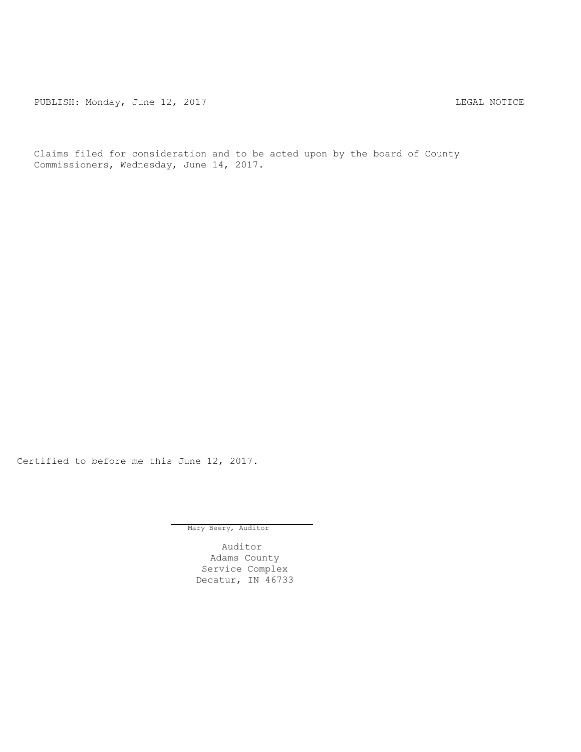PUBLISH: Monday, June 12, 2017 CHANGE AND THE MOTICE LEGAL NOTICE

Claims filed for consideration and to be acted upon by the board of County Commissioners, Wednesday, June 14, 2017.

Certified to before me this June 12, 2017.

Mary Beery, Auditor

Auditor Adams County Service Complex Decatur, IN 46733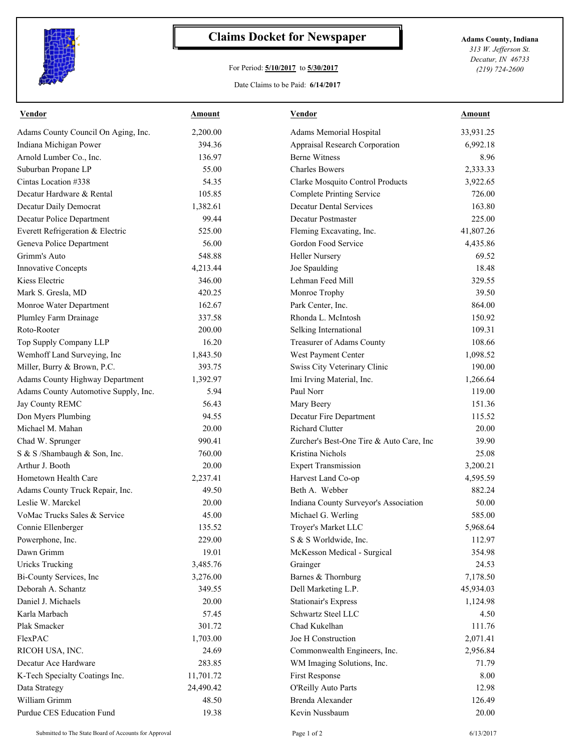

## **Claims Docket for Newspaper Adams County, Indiana**

## For Period: **5/10/2017** to **5/30/2017**

*313 W. Jefferson St. Decatur, IN 46733 (219) 724-2600*

Date Claims to be Paid: **6/14/2017**

| <b>Vendor</b>                        | Amount    | <b>Vendor</b>                            | <u>Amount</u> |
|--------------------------------------|-----------|------------------------------------------|---------------|
| Adams County Council On Aging, Inc.  | 2,200.00  | Adams Memorial Hospital                  | 33,931.25     |
| Indiana Michigan Power               | 394.36    | Appraisal Research Corporation           | 6,992.18      |
| Arnold Lumber Co., Inc.              | 136.97    | <b>Berne Witness</b>                     | 8.96          |
| Suburban Propane LP                  | 55.00     | <b>Charles Bowers</b>                    | 2,333.33      |
| Cintas Location #338                 | 54.35     | Clarke Mosquito Control Products         | 3,922.65      |
| Decatur Hardware & Rental            | 105.85    | <b>Complete Printing Service</b>         | 726.00        |
| Decatur Daily Democrat               | 1,382.61  | <b>Decatur Dental Services</b>           | 163.80        |
| Decatur Police Department            | 99.44     | Decatur Postmaster                       | 225.00        |
| Everett Refrigeration & Electric     | 525.00    | Fleming Excavating, Inc.                 | 41,807.26     |
| Geneva Police Department             | 56.00     | Gordon Food Service                      | 4,435.86      |
| Grimm's Auto                         | 548.88    | <b>Heller Nursery</b>                    | 69.52         |
| <b>Innovative Concepts</b>           | 4,213.44  | Joe Spaulding                            | 18.48         |
| Kiess Electric                       | 346.00    | Lehman Feed Mill                         | 329.55        |
| Mark S. Gresla, MD                   | 420.25    | Monroe Trophy                            | 39.50         |
| Monroe Water Department              | 162.67    | Park Center, Inc.                        | 864.00        |
| Plumley Farm Drainage                | 337.58    | Rhonda L. McIntosh                       | 150.92        |
| Roto-Rooter                          | 200.00    | Selking International                    | 109.31        |
| Top Supply Company LLP               | 16.20     | Treasurer of Adams County                | 108.66        |
| Wemhoff Land Surveying, Inc          | 1,843.50  | West Payment Center                      | 1,098.52      |
| Miller, Burry & Brown, P.C.          | 393.75    | Swiss City Veterinary Clinic             | 190.00        |
| Adams County Highway Department      | 1,392.97  | Imi Irving Material, Inc.                | 1,266.64      |
| Adams County Automotive Supply, Inc. | 5.94      | Paul Norr                                | 119.00        |
| Jay County REMC                      | 56.43     | Mary Beery                               | 151.36        |
| Don Myers Plumbing                   | 94.55     | Decatur Fire Department                  | 115.52        |
| Michael M. Mahan                     | 20.00     | <b>Richard Clutter</b>                   | 20.00         |
| Chad W. Sprunger                     | 990.41    | Zurcher's Best-One Tire & Auto Care, Inc | 39.90         |
| S & S /Shambaugh & Son, Inc.         | 760.00    | Kristina Nichols                         | 25.08         |
| Arthur J. Booth                      | 20.00     | <b>Expert Transmission</b>               | 3,200.21      |
| Hometown Health Care                 | 2,237.41  | Harvest Land Co-op                       | 4,595.59      |
| Adams County Truck Repair, Inc.      | 49.50     | Beth A. Webber                           | 882.24        |
| Leslie W. Marckel                    | 20.00     | Indiana County Surveyor's Association    | 50.00         |
| VoMac Trucks Sales & Service         | 45.00     | Michael G. Werling                       | 585.00        |
| Connie Ellenberger                   | 135.52    | Troyer's Market LLC                      | 5,968.64      |
| Powerphone, Inc.                     | 229.00    | S & S Worldwide, Inc.                    | 112.97        |
| Dawn Grimm                           | 19.01     | McKesson Medical - Surgical              | 354.98        |
| <b>Uricks Trucking</b>               | 3,485.76  | Grainger                                 | 24.53         |
| Bi-County Services, Inc              | 3,276.00  | Barnes & Thornburg                       | 7,178.50      |
| Deborah A. Schantz                   | 349.55    | Dell Marketing L.P.                      | 45,934.03     |
| Daniel J. Michaels                   | 20.00     | <b>Stationair's Express</b>              | 1,124.98      |
| Karla Marbach                        | 57.45     | Schwartz Steel LLC                       | 4.50          |
| Plak Smacker                         | 301.72    | Chad Kukelhan                            | 111.76        |
| FlexPAC                              | 1,703.00  | Joe H Construction                       | 2,071.41      |
| RICOH USA, INC.                      | 24.69     | Commonwealth Engineers, Inc.             | 2,956.84      |
| Decatur Ace Hardware                 | 283.85    | WM Imaging Solutions, Inc.               | 71.79         |
| K-Tech Specialty Coatings Inc.       | 11,701.72 | First Response                           | $8.00\,$      |
| Data Strategy                        | 24,490.42 | O'Reilly Auto Parts                      | 12.98         |
| William Grimm                        | 48.50     | Brenda Alexander                         | 126.49        |
| Purdue CES Education Fund            | 19.38     | Kevin Nussbaum                           | 20.00         |